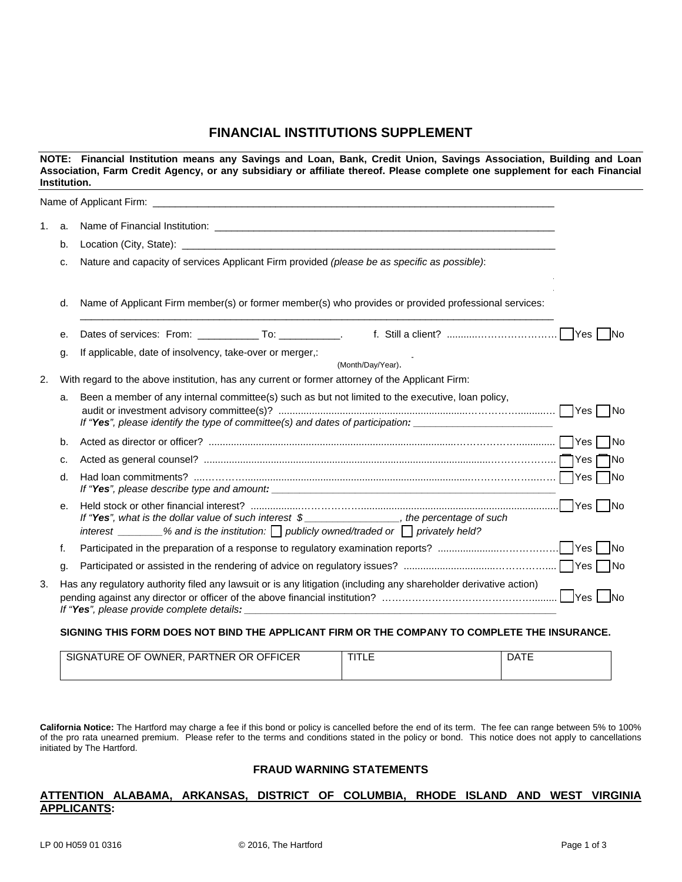## **FINANCIAL INSTITUTIONS SUPPLEMENT**

| NOTE: Financial Institution means any Savings and Loan, Bank, Credit Union, Savings Association, Building and Loan<br>Association, Farm Credit Agency, or any subsidiary or affiliate thereof. Please complete one supplement for each Financial<br>Institution. |         |                                                                                                                                                                                                     |     |  |  |  |
|------------------------------------------------------------------------------------------------------------------------------------------------------------------------------------------------------------------------------------------------------------------|---------|-----------------------------------------------------------------------------------------------------------------------------------------------------------------------------------------------------|-----|--|--|--|
|                                                                                                                                                                                                                                                                  |         |                                                                                                                                                                                                     |     |  |  |  |
| 1.                                                                                                                                                                                                                                                               | a.      |                                                                                                                                                                                                     |     |  |  |  |
|                                                                                                                                                                                                                                                                  | b.      |                                                                                                                                                                                                     |     |  |  |  |
|                                                                                                                                                                                                                                                                  | C.      | Nature and capacity of services Applicant Firm provided (please be as specific as possible):                                                                                                        |     |  |  |  |
|                                                                                                                                                                                                                                                                  | d.      | Name of Applicant Firm member(s) or former member(s) who provides or provided professional services:                                                                                                |     |  |  |  |
|                                                                                                                                                                                                                                                                  | е.      |                                                                                                                                                                                                     |     |  |  |  |
|                                                                                                                                                                                                                                                                  | g.      | If applicable, date of insolvency, take-over or merger,:<br>(Month/Day/Year).                                                                                                                       |     |  |  |  |
| 2.                                                                                                                                                                                                                                                               |         | With regard to the above institution, has any current or former attorney of the Applicant Firm:                                                                                                     |     |  |  |  |
|                                                                                                                                                                                                                                                                  | a.      | Been a member of any internal committee(s) such as but not limited to the executive, loan policy,<br>If "Yes", please identify the type of committee(s) and dates of participation:                 |     |  |  |  |
|                                                                                                                                                                                                                                                                  | b.      |                                                                                                                                                                                                     |     |  |  |  |
|                                                                                                                                                                                                                                                                  | c.      |                                                                                                                                                                                                     | _No |  |  |  |
|                                                                                                                                                                                                                                                                  | d.      |                                                                                                                                                                                                     |     |  |  |  |
|                                                                                                                                                                                                                                                                  | $e_{i}$ | If "Yes", what is the dollar value of such interest \$________________, the percentage of such<br>interest ________% and is the institution: $\Box$ publicly owned/traded or $\Box$ privately held? |     |  |  |  |
|                                                                                                                                                                                                                                                                  | f.      |                                                                                                                                                                                                     |     |  |  |  |
|                                                                                                                                                                                                                                                                  | g.      |                                                                                                                                                                                                     |     |  |  |  |
| З.                                                                                                                                                                                                                                                               |         | Has any regulatory authority filed any lawsuit or is any litigation (including any shareholder derivative action)                                                                                   |     |  |  |  |
|                                                                                                                                                                                                                                                                  |         | SIGNING THIS FORM DOES NOT BIND THE APPLICANT FIRM OR THE COMPANY TO COMPLETE THE INSURANCE.                                                                                                        |     |  |  |  |

| <b>OFFICER</b><br>TNER<br><b>OR</b><br>SK<br>OF.<br>GNATURE<br><b>NWNFR</b><br>PAR | _____ | .<br>ىرز. |  |
|------------------------------------------------------------------------------------|-------|-----------|--|
|                                                                                    |       |           |  |

**California Notice:** The Hartford may charge a fee if this bond or policy is cancelled before the end of its term. The fee can range between 5% to 100% of the pro rata unearned premium. Please refer to the terms and conditions stated in the policy or bond. This notice does not apply to cancellations initiated by The Hartford.

## **FRAUD WARNING STATEMENTS**

## **ATTENTION ALABAMA, ARKANSAS, DISTRICT OF COLUMBIA, RHODE ISLAND AND WEST VIRGINIA APPLICANTS:**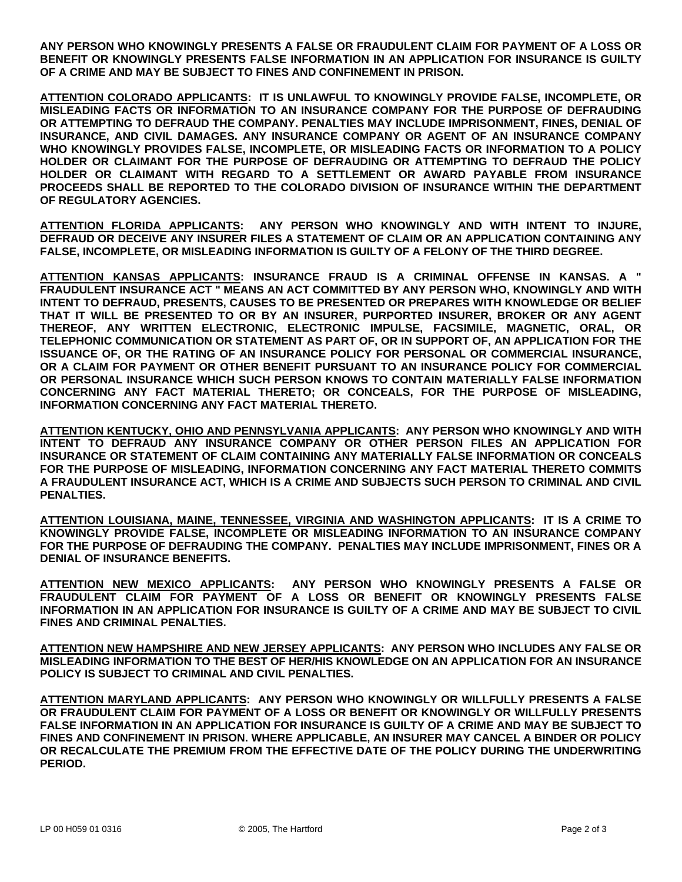**ANY PERSON WHO KNOWINGLY PRESENTS A FALSE OR FRAUDULENT CLAIM FOR PAYMENT OF A LOSS OR BENEFIT OR KNOWINGLY PRESENTS FALSE INFORMATION IN AN APPLICATION FOR INSURANCE IS GUILTY OF A CRIME AND MAY BE SUBJECT TO FINES AND CONFINEMENT IN PRISON.** 

**ATTENTION COLORADO APPLICANTS: IT IS UNLAWFUL TO KNOWINGLY PROVIDE FALSE, INCOMPLETE, OR MISLEADING FACTS OR INFORMATION TO AN INSURANCE COMPANY FOR THE PURPOSE OF DEFRAUDING OR ATTEMPTING TO DEFRAUD THE COMPANY. PENALTIES MAY INCLUDE IMPRISONMENT, FINES, DENIAL OF INSURANCE, AND CIVIL DAMAGES. ANY INSURANCE COMPANY OR AGENT OF AN INSURANCE COMPANY WHO KNOWINGLY PROVIDES FALSE, INCOMPLETE, OR MISLEADING FACTS OR INFORMATION TO A POLICY HOLDER OR CLAIMANT FOR THE PURPOSE OF DEFRAUDING OR ATTEMPTING TO DEFRAUD THE POLICY HOLDER OR CLAIMANT WITH REGARD TO A SETTLEMENT OR AWARD PAYABLE FROM INSURANCE PROCEEDS SHALL BE REPORTED TO THE COLORADO DIVISION OF INSURANCE WITHIN THE DEPARTMENT OF REGULATORY AGENCIES.** 

**ATTENTION FLORIDA APPLICANTS: ANY PERSON WHO KNOWINGLY AND WITH INTENT TO INJURE, DEFRAUD OR DECEIVE ANY INSURER FILES A STATEMENT OF CLAIM OR AN APPLICATION CONTAINING ANY FALSE, INCOMPLETE, OR MISLEADING INFORMATION IS GUILTY OF A FELONY OF THE THIRD DEGREE.** 

**ATTENTION KANSAS APPLICANTS: INSURANCE FRAUD IS A CRIMINAL OFFENSE IN KANSAS. A " FRAUDULENT INSURANCE ACT " MEANS AN ACT COMMITTED BY ANY PERSON WHO, KNOWINGLY AND WITH INTENT TO DEFRAUD, PRESENTS, CAUSES TO BE PRESENTED OR PREPARES WITH KNOWLEDGE OR BELIEF THAT IT WILL BE PRESENTED TO OR BY AN INSURER, PURPORTED INSURER, BROKER OR ANY AGENT THEREOF, ANY WRITTEN ELECTRONIC, ELECTRONIC IMPULSE, FACSIMILE, MAGNETIC, ORAL, OR TELEPHONIC COMMUNICATION OR STATEMENT AS PART OF, OR IN SUPPORT OF, AN APPLICATION FOR THE ISSUANCE OF, OR THE RATING OF AN INSURANCE POLICY FOR PERSONAL OR COMMERCIAL INSURANCE, OR A CLAIM FOR PAYMENT OR OTHER BENEFIT PURSUANT TO AN INSURANCE POLICY FOR COMMERCIAL OR PERSONAL INSURANCE WHICH SUCH PERSON KNOWS TO CONTAIN MATERIALLY FALSE INFORMATION CONCERNING ANY FACT MATERIAL THERETO; OR CONCEALS, FOR THE PURPOSE OF MISLEADING, INFORMATION CONCERNING ANY FACT MATERIAL THERETO.** 

**ATTENTION KENTUCKY, OHIO AND PENNSYLVANIA APPLICANTS: ANY PERSON WHO KNOWINGLY AND WITH INTENT TO DEFRAUD ANY INSURANCE COMPANY OR OTHER PERSON FILES AN APPLICATION FOR INSURANCE OR STATEMENT OF CLAIM CONTAINING ANY MATERIALLY FALSE INFORMATION OR CONCEALS FOR THE PURPOSE OF MISLEADING, INFORMATION CONCERNING ANY FACT MATERIAL THERETO COMMITS A FRAUDULENT INSURANCE ACT, WHICH IS A CRIME AND SUBJECTS SUCH PERSON TO CRIMINAL AND CIVIL PENALTIES.** 

**ATTENTION LOUISIANA, MAINE, TENNESSEE, VIRGINIA AND WASHINGTON APPLICANTS: IT IS A CRIME TO KNOWINGLY PROVIDE FALSE, INCOMPLETE OR MISLEADING INFORMATION TO AN INSURANCE COMPANY FOR THE PURPOSE OF DEFRAUDING THE COMPANY. PENALTIES MAY INCLUDE IMPRISONMENT, FINES OR A DENIAL OF INSURANCE BENEFITS.** 

**ATTENTION NEW MEXICO APPLICANTS: ANY PERSON WHO KNOWINGLY PRESENTS A FALSE OR FRAUDULENT CLAIM FOR PAYMENT OF A LOSS OR BENEFIT OR KNOWINGLY PRESENTS FALSE INFORMATION IN AN APPLICATION FOR INSURANCE IS GUILTY OF A CRIME AND MAY BE SUBJECT TO CIVIL FINES AND CRIMINAL PENALTIES.** 

**ATTENTION NEW HAMPSHIRE AND NEW JERSEY APPLICANTS: ANY PERSON WHO INCLUDES ANY FALSE OR MISLEADING INFORMATION TO THE BEST OF HER/HIS KNOWLEDGE ON AN APPLICATION FOR AN INSURANCE POLICY IS SUBJECT TO CRIMINAL AND CIVIL PENALTIES.** 

**ATTENTION MARYLAND APPLICANTS: ANY PERSON WHO KNOWINGLY OR WILLFULLY PRESENTS A FALSE OR FRAUDULENT CLAIM FOR PAYMENT OF A LOSS OR BENEFIT OR KNOWINGLY OR WILLFULLY PRESENTS FALSE INFORMATION IN AN APPLICATION FOR INSURANCE IS GUILTY OF A CRIME AND MAY BE SUBJECT TO FINES AND CONFINEMENT IN PRISON. WHERE APPLICABLE, AN INSURER MAY CANCEL A BINDER OR POLICY OR RECALCULATE THE PREMIUM FROM THE EFFECTIVE DATE OF THE POLICY DURING THE UNDERWRITING PERIOD.**